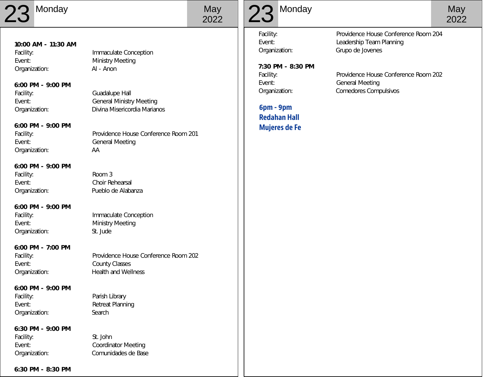# $23$  Monday May  $_{2022}$

2022

**10:00 AM - 11:30 AM** Facility: **Immaculate Conception** Event: Ministry Meeting Organization: Al - Anon

**6:00 PM - 9:00 PM** Facility: Guadalupe Hall Event: **General Ministry Meeting** Organization: Divina Misericordia Marianos

**6:00 PM - 9:00 PM** Event: General Meeting Organization: AA

Facility: **Providence House Conference Room 201** 

**6:00 PM - 9:00 PM** Facility: Room 3 Event: Choir Rehearsal

Organization: Pueblo de Alabanza **6:00 PM - 9:00 PM**

Organization: St. Jude

**6:00 PM - 7:00 PM**

**6:30 PM - 9:00 PM**

**6:30 PM - 8:30 PM**

Facility: **Immaculate Conception** Event: Ministry Meeting

Facility: Providence House Conference Room 202 Event: County Classes Organization: Health and Wellness

**6:00 PM - 9:00 PM** Facility: Parish Library Event: Retreat Planning Organization: Search

Facility: St. John Event: Coordinator Meeting Organization: Comunidades de Base  $23$  Monday May  $_{2022}$ 

**7:30 PM - 8:30 PM** Event: General Meeting

**6pm - 9pm Redahan Hall Mujeres de Fe**

Facility: Providence House Conference Room 204 Event: Leadership Team Planning Organization: Grupo de Jovenes

2022

Facility: Providence House Conference Room 202 Organization: Comedores Compulsivos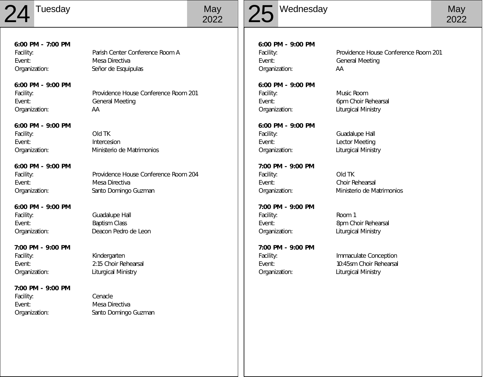# $24$  Tuesday May  $_{2022}$

2022

**6:00 PM - 7:00 PM** Facility: **Parish Center Conference Room A** Event: Mesa Directiva

**6:00 PM - 9:00 PM** Organization: AA

Organization: Señor de Esquipulas

Facility: Providence House Conference Room 201 Event: General Meeting

**6:00 PM - 9:00 PM** Facility: Old TK Event: Intercesion

Organization: Ministerio de Matrimonios

**6:00 PM - 9:00 PM** Facility: **Providence House Conference Room 204** Event: Mesa Directiva Organization: Santo Domingo Guzman

**6:00 PM - 9:00 PM** Facility: Guadalupe Hall Event: Baptism Class Organization: Deacon Pedro de Leon

**7:00 PM - 9:00 PM** Facility: Kindergarten Event: 2:15 Choir Rehearsal Organization: Liturgical Ministry

**7:00 PM - 9:00 PM** Facility: Cenacle Event: Mesa Directiva Organization: Santo Domingo Guzman

**6:00 PM - 9:00 PM** Event: General Meeting Organization: AA

**6:00 PM - 9:00 PM** Facility: Music Room Event: 6pm Choir Rehearsal Organization: Liturgical Ministry

**6:00 PM - 9:00 PM** Facility: Guadalupe Hall Event: Lector Meeting Organization: Liturgical Ministry

**7:00 PM - 9:00 PM** Facility: Old TK Event: Choir Rehearsal

**7:00 PM - 9:00 PM** Facility: Room 1 Event: 8pm Choir Rehearsal Organization: Liturgical Ministry

**7:00 PM - 9:00 PM** Organization: Liturgical Ministry

Facility: **Providence House Conference Room 201** 

Organization: Ministerio de Matrimonios

Facility: **Immaculate Conception** Event: 10:45sm Choir Rehearsal 2022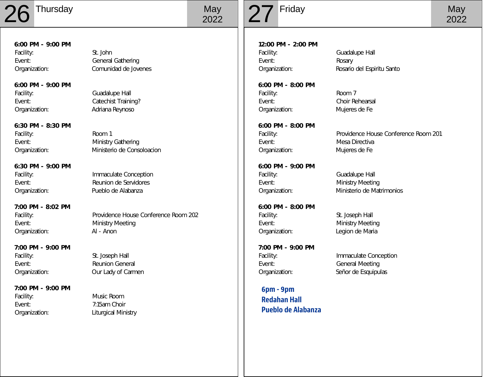# $26$  Thursday May  $_{2022}$

**6:00 PM - 9:00 PM**

**6:00 PM - 9:00 PM**

**6:30 PM - 8:30 PM**

2022

**12:00 PM - 2:00 PM** Facility: Guadalupe Hall Event: Rosary

**6:00 PM - 8:00 PM** Facility: Room 7 Event: Choir Rehearsal Organization: Mujeres de Fe

**6:00 PM - 8:00 PM** Event: Mesa Directiva Organization: Mujeres de Fe

**6:00 PM - 9:00 PM** Facility: Guadalupe Hall Event: Ministry Meeting

**6:00 PM - 8:00 PM** Facility: St. Joseph Hall Event: Ministry Meeting Organization: Legion de Maria

**7:00 PM - 9:00 PM** Event: General Meeting Organization: Señor de Esquipulas

**6pm - 9pm Redahan Hall Pueblo de Alabanza**

Organization: Rosario del Espiritu Santo

Facility: Providence House Conference Room 201

2022

Organization: Ministerio de Matrimonios

Facility: **Immaculate Conception** 

Facility: St. John Event: General Gathering Organization: Comunidad de Jovenes

Facility: Guadalupe Hall Event: Catechist Training? Organization: Adriana Reynoso

Facility: Room 1 Event: **Ministry Gathering** Organization: Ministerio de Consoloacion

**6:30 PM - 9:00 PM** Facility: **Immaculate Conception** Event: Reunion de Servidores Organization: Pueblo de Alabanza

**7:00 PM - 8:02 PM** Event: Ministry Meeting Organization: Al - Anon

Facility: Providence House Conference Room 202

**7:00 PM - 9:00 PM** Facility: St. Joseph Hall Event: Reunion General Organization: Our Lady of Carmen

**7:00 PM - 9:00 PM** Facility: Music Room Event: 7:15am Choir Organization: Liturgical Ministry